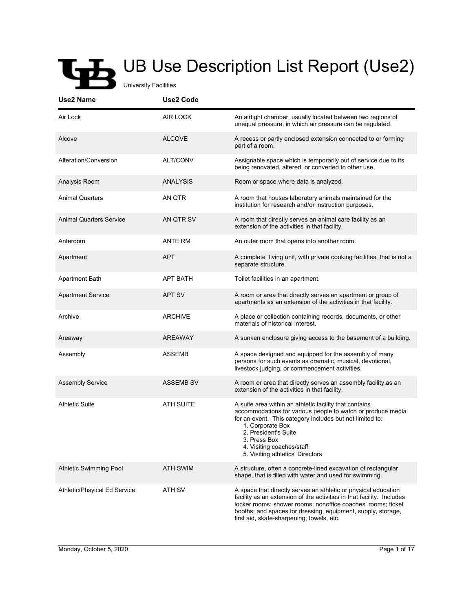## ĿЪ UB Use Description List Report (Use2)

University Facilities

 $\overline{\phantom{a}}$ 

| <b>Use2 Name</b>               | <b>Use2 Code</b> |                                                                                                                                                                                                                                                                                                                      |
|--------------------------------|------------------|----------------------------------------------------------------------------------------------------------------------------------------------------------------------------------------------------------------------------------------------------------------------------------------------------------------------|
| Air Lock                       | <b>AIR LOCK</b>  | An airtight chamber, usually located between two regions of<br>unequal pressure, in which air pressure can be regulated.                                                                                                                                                                                             |
| Alcove                         | <b>ALCOVE</b>    | A recess or partly enclosed extension connected to or forming<br>part of a room.                                                                                                                                                                                                                                     |
| Alteration/Conversion          | ALT/CONV         | Assignable space which is temporarily out of service due to its<br>being renovated, altered, or converted to other use.                                                                                                                                                                                              |
| Analysis Room                  | <b>ANALYSIS</b>  | Room or space where data is analyzed.                                                                                                                                                                                                                                                                                |
| <b>Animal Quarters</b>         | AN QTR           | A room that houses laboratory animals maintained for the<br>institution for research and/or instruction purposes.                                                                                                                                                                                                    |
| <b>Animal Quarters Service</b> | AN QTR SV        | A room that directly serves an animal care facility as an<br>extension of the activities in that facility.                                                                                                                                                                                                           |
| Anteroom                       | ANTE RM          | An outer room that opens into another room.                                                                                                                                                                                                                                                                          |
| Apartment                      | <b>APT</b>       | A complete living unit, with private cooking facilities, that is not a<br>separate structure.                                                                                                                                                                                                                        |
| <b>Apartment Bath</b>          | APT BATH         | Toilet facilities in an apartment.                                                                                                                                                                                                                                                                                   |
| <b>Apartment Service</b>       | <b>APT SV</b>    | A room or area that directly serves an apartment or group of<br>apartments as an extension of the activities in that facility.                                                                                                                                                                                       |
| Archive                        | <b>ARCHIVE</b>   | A place or collection containing records, documents, or other<br>materials of historical interest.                                                                                                                                                                                                                   |
| Areaway                        | <b>AREAWAY</b>   | A sunken enclosure giving access to the basement of a building.                                                                                                                                                                                                                                                      |
| Assembly                       | <b>ASSEMB</b>    | A space designed and equipped for the assembly of many<br>persons for such events as dramatic, musical, devotional,<br>livestock judging, or commencement activities.                                                                                                                                                |
| <b>Assembly Service</b>        | <b>ASSEMB SV</b> | A room or area that directly serves an assembly facility as an<br>extension of the activities in that facility.                                                                                                                                                                                                      |
| <b>Athletic Suite</b>          | <b>ATH SUITE</b> | A suite area within an athletic facility that contains<br>accommodations for various people to watch or produce media<br>for an event. This category includes but not limited to:<br>1. Corporate Box<br>2. President's Suite<br>3. Press Box<br>4. Visiting coaches/staff<br>5. Visiting athletics' Directors       |
| Athletic Swimming Pool         | <b>ATH SWIM</b>  | A structure, often a concrete-lined excavation of rectangular<br>shape, that is filled with water and used for swimming.                                                                                                                                                                                             |
| Athletic/Phsyical Ed Service   | ATH SV           | A space that directly serves an athletic or physical education<br>facility as an extension of the activities in that facility. Includes<br>locker rooms; shower rooms; nonoffice coaches' rooms; ticket<br>booths; and spaces for dressing, equipment, supply, storage,<br>first aid, skate-sharpening, towels, etc. |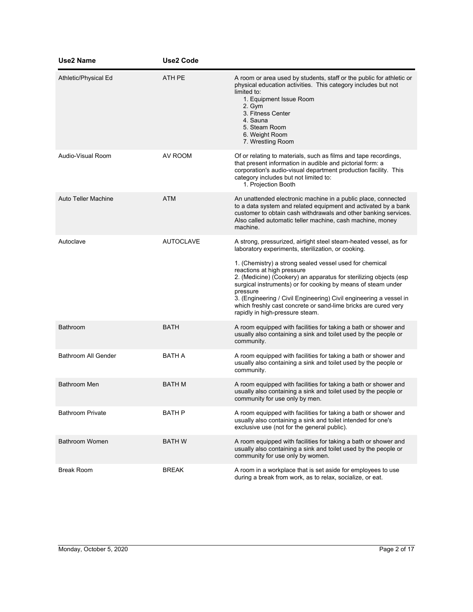| <b>Use2 Name</b>           | <b>Use2 Code</b> |                                                                                                                                                                                                                                                                                                                                                                                                                                                                                                                                              |
|----------------------------|------------------|----------------------------------------------------------------------------------------------------------------------------------------------------------------------------------------------------------------------------------------------------------------------------------------------------------------------------------------------------------------------------------------------------------------------------------------------------------------------------------------------------------------------------------------------|
| Athletic/Physical Ed       | ATH PE           | A room or area used by students, staff or the public for athletic or<br>physical education activities. This category includes but not<br>limited to:<br>1. Equipment Issue Room<br>2. Gym<br>3. Fitness Center<br>4. Sauna<br>5. Steam Room<br>6. Weight Room<br>7. Wrestling Room                                                                                                                                                                                                                                                           |
| Audio-Visual Room          | AV ROOM          | Of or relating to materials, such as films and tape recordings,<br>that present information in audible and pictorial form: a<br>corporation's audio-visual department production facility. This<br>category includes but not limited to:<br>1. Projection Booth                                                                                                                                                                                                                                                                              |
| <b>Auto Teller Machine</b> | <b>ATM</b>       | An unattended electronic machine in a public place, connected<br>to a data system and related equipment and activated by a bank<br>customer to obtain cash withdrawals and other banking services.<br>Also called automatic teller machine, cash machine, money<br>machine.                                                                                                                                                                                                                                                                  |
| Autoclave                  | <b>AUTOCLAVE</b> | A strong, pressurized, airtight steel steam-heated vessel, as for<br>laboratory experiments, sterilization, or cooking.<br>1. (Chemistry) a strong sealed vessel used for chemical<br>reactions at high pressure<br>2. (Medicine) (Cookery) an apparatus for sterilizing objects (esp<br>surgical instruments) or for cooking by means of steam under<br>pressure<br>3. (Engineering / Civil Engineering) Civil engineering a vessel in<br>which freshly cast concrete or sand-lime bricks are cured very<br>rapidly in high-pressure steam. |
| Bathroom                   | <b>BATH</b>      | A room equipped with facilities for taking a bath or shower and<br>usually also containing a sink and toilet used by the people or<br>community.                                                                                                                                                                                                                                                                                                                                                                                             |
| <b>Bathroom All Gender</b> | <b>BATH A</b>    | A room equipped with facilities for taking a bath or shower and<br>usually also containing a sink and toilet used by the people or<br>community.                                                                                                                                                                                                                                                                                                                                                                                             |
| <b>Bathroom Men</b>        | <b>BATH M</b>    | A room equipped with facilities for taking a bath or shower and<br>usually also containing a sink and toilet used by the people or<br>community for use only by men.                                                                                                                                                                                                                                                                                                                                                                         |
| <b>Bathroom Private</b>    | <b>BATH P</b>    | A room equipped with facilities for taking a bath or shower and<br>usually also containing a sink and toilet intended for one's<br>exclusive use (not for the general public).                                                                                                                                                                                                                                                                                                                                                               |
| <b>Bathroom Women</b>      | <b>BATH W</b>    | A room equipped with facilities for taking a bath or shower and<br>usually also containing a sink and toilet used by the people or<br>community for use only by women.                                                                                                                                                                                                                                                                                                                                                                       |
| <b>Break Room</b>          | <b>BREAK</b>     | A room in a workplace that is set aside for employees to use<br>during a break from work, as to relax, socialize, or eat.                                                                                                                                                                                                                                                                                                                                                                                                                    |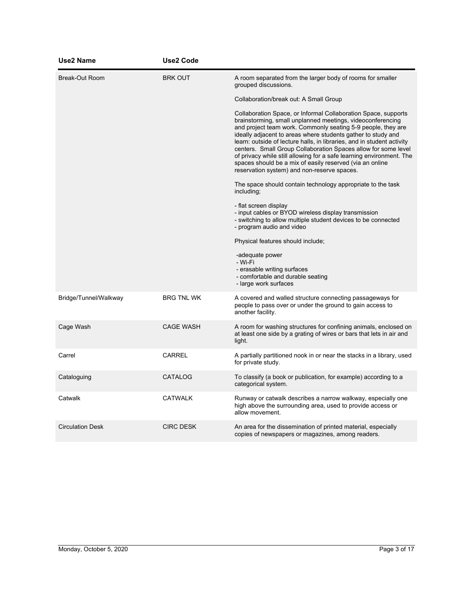| <b>Use2 Name</b>        | <b>Use2 Code</b>  |                                                                                                                                                                                                                                                                                                                                                                                                                                                                                                                                                                                             |
|-------------------------|-------------------|---------------------------------------------------------------------------------------------------------------------------------------------------------------------------------------------------------------------------------------------------------------------------------------------------------------------------------------------------------------------------------------------------------------------------------------------------------------------------------------------------------------------------------------------------------------------------------------------|
| Break-Out Room          | <b>BRK OUT</b>    | A room separated from the larger body of rooms for smaller<br>grouped discussions.                                                                                                                                                                                                                                                                                                                                                                                                                                                                                                          |
|                         |                   | Collaboration/break out: A Small Group                                                                                                                                                                                                                                                                                                                                                                                                                                                                                                                                                      |
|                         |                   | Collaboration Space, or Informal Collaboration Space, supports<br>brainstorming, small unplanned meetings, videoconferencing<br>and project team work. Commonly seating 5-9 people, they are<br>ideally adjacent to areas where students gather to study and<br>learn: outside of lecture halls, in libraries, and in student activity<br>centers. Small Group Collaboration Spaces allow for some level<br>of privacy while still allowing for a safe learning environment. The<br>spaces should be a mix of easily reserved (via an online<br>reservation system) and non-reserve spaces. |
|                         |                   | The space should contain technology appropriate to the task<br>including;                                                                                                                                                                                                                                                                                                                                                                                                                                                                                                                   |
|                         |                   | - flat screen display<br>- input cables or BYOD wireless display transmission<br>- switching to allow multiple student devices to be connected<br>- program audio and video                                                                                                                                                                                                                                                                                                                                                                                                                 |
|                         |                   | Physical features should include;                                                                                                                                                                                                                                                                                                                                                                                                                                                                                                                                                           |
|                         |                   | -adequate power<br>- Wi-Fi<br>- erasable writing surfaces<br>- comfortable and durable seating<br>- large work surfaces                                                                                                                                                                                                                                                                                                                                                                                                                                                                     |
| Bridge/Tunnel/Walkway   | <b>BRG TNL WK</b> | A covered and walled structure connecting passageways for<br>people to pass over or under the ground to gain access to<br>another facility.                                                                                                                                                                                                                                                                                                                                                                                                                                                 |
| Cage Wash               | <b>CAGE WASH</b>  | A room for washing structures for confining animals, enclosed on<br>at least one side by a grating of wires or bars that lets in air and<br>light.                                                                                                                                                                                                                                                                                                                                                                                                                                          |
| Carrel                  | CARREL            | A partially partitioned nook in or near the stacks in a library, used<br>for private study.                                                                                                                                                                                                                                                                                                                                                                                                                                                                                                 |
| Cataloguing             | <b>CATALOG</b>    | To classify (a book or publication, for example) according to a<br>categorical system.                                                                                                                                                                                                                                                                                                                                                                                                                                                                                                      |
| Catwalk                 | <b>CATWALK</b>    | Runway or catwalk describes a narrow walkway, especially one<br>high above the surrounding area, used to provide access or<br>allow movement.                                                                                                                                                                                                                                                                                                                                                                                                                                               |
| <b>Circulation Desk</b> | <b>CIRC DESK</b>  | An area for the dissemination of printed material, especially<br>copies of newspapers or magazines, among readers.                                                                                                                                                                                                                                                                                                                                                                                                                                                                          |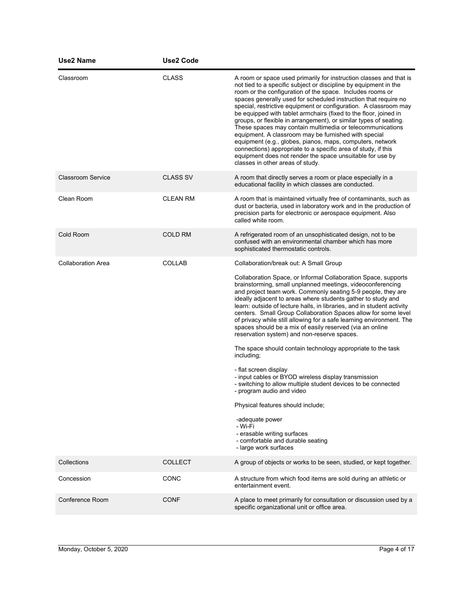| <b>Use2 Name</b>          | <b>Use2 Code</b> |                                                                                                                                                                                                                                                                                                                                                                                                                                                                                                                                                                                                                                                                                                                                                                                                                                         |
|---------------------------|------------------|-----------------------------------------------------------------------------------------------------------------------------------------------------------------------------------------------------------------------------------------------------------------------------------------------------------------------------------------------------------------------------------------------------------------------------------------------------------------------------------------------------------------------------------------------------------------------------------------------------------------------------------------------------------------------------------------------------------------------------------------------------------------------------------------------------------------------------------------|
| Classroom                 | <b>CLASS</b>     | A room or space used primarily for instruction classes and that is<br>not tied to a specific subject or discipline by equipment in the<br>room or the configuration of the space. Includes rooms or<br>spaces generally used for scheduled instruction that require no<br>special, restrictive equipment or configuration. A classroom may<br>be equipped with tablet armchairs (fixed to the floor, joined in<br>groups, or flexible in arrangement), or similar types of seating.<br>These spaces may contain multimedia or telecommunications<br>equipment. A classroom may be furnished with special<br>equipment (e.g., globes, pianos, maps, computers, network<br>connections) appropriate to a specific area of study, if this<br>equipment does not render the space unsuitable for use by<br>classes in other areas of study. |
| <b>Classroom Service</b>  | <b>CLASS SV</b>  | A room that directly serves a room or place especially in a<br>educational facility in which classes are conducted.                                                                                                                                                                                                                                                                                                                                                                                                                                                                                                                                                                                                                                                                                                                     |
| Clean Room                | <b>CLEAN RM</b>  | A room that is maintained virtually free of contaminants, such as<br>dust or bacteria, used in laboratory work and in the production of<br>precision parts for electronic or aerospace equipment. Also<br>called white room.                                                                                                                                                                                                                                                                                                                                                                                                                                                                                                                                                                                                            |
| Cold Room                 | <b>COLD RM</b>   | A refrigerated room of an unsophisticated design, not to be<br>confused with an environmental chamber which has more<br>sophisticated thermostatic controls.                                                                                                                                                                                                                                                                                                                                                                                                                                                                                                                                                                                                                                                                            |
| <b>Collaboration Area</b> | <b>COLLAB</b>    | Collaboration/break out: A Small Group                                                                                                                                                                                                                                                                                                                                                                                                                                                                                                                                                                                                                                                                                                                                                                                                  |
|                           |                  | Collaboration Space, or Informal Collaboration Space, supports<br>brainstorming, small unplanned meetings, videoconferencing<br>and project team work. Commonly seating 5-9 people, they are<br>ideally adjacent to areas where students gather to study and<br>learn: outside of lecture halls, in libraries, and in student activity<br>centers. Small Group Collaboration Spaces allow for some level<br>of privacy while still allowing for a safe learning environment. The<br>spaces should be a mix of easily reserved (via an online<br>reservation system) and non-reserve spaces.                                                                                                                                                                                                                                             |
|                           |                  | The space should contain technology appropriate to the task<br>including;                                                                                                                                                                                                                                                                                                                                                                                                                                                                                                                                                                                                                                                                                                                                                               |
|                           |                  | - flat screen display<br>- input cables or BYOD wireless display transmission<br>- switching to allow multiple student devices to be connected<br>- program audio and video                                                                                                                                                                                                                                                                                                                                                                                                                                                                                                                                                                                                                                                             |
|                           |                  | Physical features should include;                                                                                                                                                                                                                                                                                                                                                                                                                                                                                                                                                                                                                                                                                                                                                                                                       |
|                           |                  | -adequate power<br>- Wi-Fi<br>- erasable writing surfaces<br>- comfortable and durable seating<br>- large work surfaces                                                                                                                                                                                                                                                                                                                                                                                                                                                                                                                                                                                                                                                                                                                 |
| Collections               | <b>COLLECT</b>   | A group of objects or works to be seen, studied, or kept together.                                                                                                                                                                                                                                                                                                                                                                                                                                                                                                                                                                                                                                                                                                                                                                      |
| Concession                | CONC             | A structure from which food items are sold during an athletic or<br>entertainment event.                                                                                                                                                                                                                                                                                                                                                                                                                                                                                                                                                                                                                                                                                                                                                |
| Conference Room           | <b>CONF</b>      | A place to meet primarily for consultation or discussion used by a<br>specific organizational unit or office area.                                                                                                                                                                                                                                                                                                                                                                                                                                                                                                                                                                                                                                                                                                                      |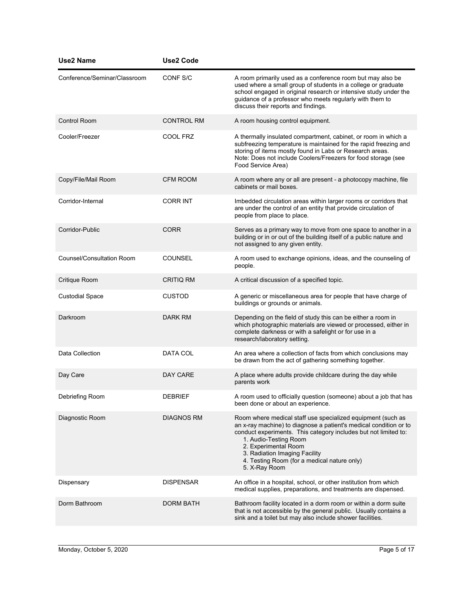| <b>Use2 Name</b>             | <b>Use2 Code</b>  |                                                                                                                                                                                                                                                                                                                                                       |
|------------------------------|-------------------|-------------------------------------------------------------------------------------------------------------------------------------------------------------------------------------------------------------------------------------------------------------------------------------------------------------------------------------------------------|
| Conference/Seminar/Classroom | CONF S/C          | A room primarily used as a conference room but may also be<br>used where a small group of students in a college or graduate<br>school engaged in original research or intensive study under the<br>guidance of a professor who meets regularly with them to<br>discuss their reports and findings.                                                    |
| <b>Control Room</b>          | <b>CONTROL RM</b> | A room housing control equipment.                                                                                                                                                                                                                                                                                                                     |
| Cooler/Freezer               | COOL FRZ          | A thermally insulated compartment, cabinet, or room in which a<br>subfreezing temperature is maintained for the rapid freezing and<br>storing of items mostly found in Labs or Research areas.<br>Note: Does not include Coolers/Freezers for food storage (see<br>Food Service Area)                                                                 |
| Copy/File/Mail Room          | <b>CFM ROOM</b>   | A room where any or all are present - a photocopy machine, file<br>cabinets or mail boxes.                                                                                                                                                                                                                                                            |
| Corridor-Internal            | <b>CORR INT</b>   | Imbedded circulation areas within larger rooms or corridors that<br>are under the control of an entity that provide circulation of<br>people from place to place.                                                                                                                                                                                     |
| Corridor-Public              | <b>CORR</b>       | Serves as a primary way to move from one space to another in a<br>building or in or out of the building itself of a public nature and<br>not assigned to any given entity.                                                                                                                                                                            |
| Counsel/Consultation Room    | <b>COUNSEL</b>    | A room used to exchange opinions, ideas, and the counseling of<br>people.                                                                                                                                                                                                                                                                             |
| Critique Room                | <b>CRITIQ RM</b>  | A critical discussion of a specified topic.                                                                                                                                                                                                                                                                                                           |
| <b>Custodial Space</b>       | <b>CUSTOD</b>     | A generic or miscellaneous area for people that have charge of<br>buildings or grounds or animals.                                                                                                                                                                                                                                                    |
| Darkroom                     | <b>DARK RM</b>    | Depending on the field of study this can be either a room in<br>which photographic materials are viewed or processed, either in<br>complete darkness or with a safelight or for use in a<br>research/laboratory setting.                                                                                                                              |
| Data Collection              | <b>DATA COL</b>   | An area where a collection of facts from which conclusions may<br>be drawn from the act of gathering something together.                                                                                                                                                                                                                              |
| Day Care                     | <b>DAY CARE</b>   | A place where adults provide childcare during the day while<br>parents work                                                                                                                                                                                                                                                                           |
| Debriefing Room              | <b>DEBRIEF</b>    | A room used to officially question (someone) about a job that has<br>been done or about an experience.                                                                                                                                                                                                                                                |
| Diagnostic Room              | <b>DIAGNOS RM</b> | Room where medical staff use specialized equipment (such as<br>an x-ray machine) to diagnose a patient's medical condition or to<br>conduct experiments. This category includes but not limited to:<br>1. Audio-Testing Room<br>2. Experimental Room<br>3. Radiation Imaging Facility<br>4. Testing Room (for a medical nature only)<br>5. X-Ray Room |
| Dispensary                   | <b>DISPENSAR</b>  | An office in a hospital, school, or other institution from which<br>medical supplies, preparations, and treatments are dispensed.                                                                                                                                                                                                                     |
| Dorm Bathroom                | <b>DORM BATH</b>  | Bathroom facility located in a dorm room or within a dorm suite<br>that is not accessible by the general public. Usually contains a<br>sink and a toilet but may also include shower facilities.                                                                                                                                                      |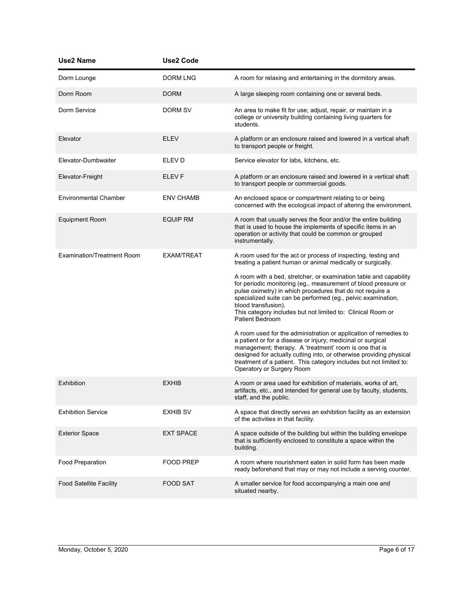| <b>Use2 Name</b>                  | <b>Use2 Code</b>  |                                                                                                                                                                                                                                                                                                                                                                           |
|-----------------------------------|-------------------|---------------------------------------------------------------------------------------------------------------------------------------------------------------------------------------------------------------------------------------------------------------------------------------------------------------------------------------------------------------------------|
| Dorm Lounge                       | <b>DORM LNG</b>   | A room for relaxing and entertaining in the dormitory areas.                                                                                                                                                                                                                                                                                                              |
| Dorm Room                         | <b>DORM</b>       | A large sleeping room containing one or several beds.                                                                                                                                                                                                                                                                                                                     |
| Dorm Service                      | DORM SV           | An area to make fit for use; adjust, repair, or maintain in a<br>college or university building containing living quarters for<br>students.                                                                                                                                                                                                                               |
| Elevator                          | <b>ELEV</b>       | A platform or an enclosure raised and lowered in a vertical shaft<br>to transport people or freight.                                                                                                                                                                                                                                                                      |
| Elevator-Dumbwaiter               | ELEV <sub>D</sub> | Service elevator for labs, kitchens, etc.                                                                                                                                                                                                                                                                                                                                 |
| Elevator-Freight                  | <b>ELEVF</b>      | A platform or an enclosure raised and lowered in a vertical shaft<br>to transport people or commercial goods.                                                                                                                                                                                                                                                             |
| <b>Environmental Chamber</b>      | <b>ENV CHAMB</b>  | An enclosed space or compartment relating to or being<br>concerned with the ecological impact of altering the environment.                                                                                                                                                                                                                                                |
| <b>Equipment Room</b>             | <b>EQUIP RM</b>   | A room that usually serves the floor and/or the entire building<br>that is used to house the implements of specific items in an<br>operation or activity that could be common or grouped<br>instrumentally.                                                                                                                                                               |
| <b>Examination/Treatment Room</b> | <b>EXAM/TREAT</b> | A room used for the act or process of inspecting, testing and<br>treating a patient human or animal medically or surgically.                                                                                                                                                                                                                                              |
|                                   |                   | A room with a bed, stretcher, or examination table and capability<br>for periodic monitoring (eg., measurement of blood pressure or<br>pulse oximetry) in which procedures that do not require a<br>specialized suite can be performed (eg., pelvic examination,<br>blood transfusion).<br>This category includes but not limited to: Clinical Room or<br>Patient Bedroom |
|                                   |                   | A room used for the administration or application of remedies to<br>a patient or for a disease or injury; medicinal or surgical<br>management; therapy. A 'treatment' room is one that is<br>designed for actually cutting into, or otherwise providing physical<br>treatment of a patient. This category includes but not limited to:<br>Operatory or Surgery Room       |
| <b>Exhibition</b>                 | <b>EXHIB</b>      | A room or area used for exhibition of materials, works of art,<br>artifacts, etc., and intended for general use by faculty, students,<br>staff, and the public.                                                                                                                                                                                                           |
| <b>Exhibition Service</b>         | <b>EXHIB SV</b>   | A space that directly serves an exhibition facility as an extension<br>of the activities in that facility.                                                                                                                                                                                                                                                                |
| <b>Exterior Space</b>             | <b>EXT SPACE</b>  | A space outside of the building but within the building envelope<br>that is sufficiently enclosed to constitute a space within the<br>building.                                                                                                                                                                                                                           |
| <b>Food Preparation</b>           | <b>FOOD PREP</b>  | A room where nourishment eaten in solid form has been made<br>ready beforehand that may or may not include a serving counter.                                                                                                                                                                                                                                             |
| <b>Food Satellite Facility</b>    | FOOD SAT          | A smaller service for food accompanying a main one and<br>situated nearby.                                                                                                                                                                                                                                                                                                |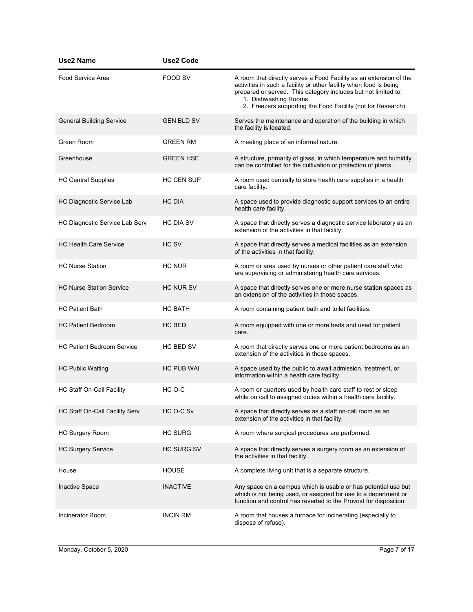| <b>Use2 Name</b>                  | <b>Use2 Code</b>  |                                                                                                                                                                                                                                                                                                   |
|-----------------------------------|-------------------|---------------------------------------------------------------------------------------------------------------------------------------------------------------------------------------------------------------------------------------------------------------------------------------------------|
| Food Service Area                 | <b>FOOD SV</b>    | A room that directly serves a Food Facility as an extension of the<br>activities in such a facility or other facility when food is being<br>prepared or served. This category includes but not limited to:<br>1. Dishwashing Rooms<br>2. Freezers supporting the Food Facility (not for Research) |
| <b>General Building Service</b>   | <b>GEN BLD SV</b> | Serves the maintenance and operation of the building in which<br>the facility is located.                                                                                                                                                                                                         |
| Green Room                        | <b>GREEN RM</b>   | A meeting place of an informal nature.                                                                                                                                                                                                                                                            |
| Greenhouse                        | <b>GREEN HSE</b>  | A structure, primarily of glass, in which temperature and humidity<br>can be controlled for the cultivation or protection of plants.                                                                                                                                                              |
| <b>HC Central Supplies</b>        | <b>HC CEN SUP</b> | A room used centrally to store health care supplies in a health<br>care facility.                                                                                                                                                                                                                 |
| HC Diagnostic Service Lab         | <b>HC DIA</b>     | A space used to provide diagnostic support services to an entire<br>health care facility.                                                                                                                                                                                                         |
| HC Diagnostic Service Lab Serv    | <b>HC DIA SV</b>  | A space that directly serves a diagnostic service laboratory as an<br>extension of the activities in that facility.                                                                                                                                                                               |
| <b>HC Health Care Service</b>     | HC SV             | A space that directly serves a medical facilities as an extension<br>of the activities in that facility.                                                                                                                                                                                          |
| <b>HC Nurse Station</b>           | HC NUR            | A room or area used by nurses or other patient care staff who<br>are supervising or administering health care services.                                                                                                                                                                           |
| <b>HC Nurse Station Service</b>   | <b>HC NUR SV</b>  | A space that directly serves one or more nurse station spaces as<br>an extension of the activities in those spaces.                                                                                                                                                                               |
| <b>HC Patient Bath</b>            | <b>HC BATH</b>    | A room containing patient bath and toilet facilities.                                                                                                                                                                                                                                             |
| <b>HC Patient Bedroom</b>         | HC BED            | A room equipped with one or more beds and used for patient<br>care.                                                                                                                                                                                                                               |
| <b>HC Patient Bedroom Service</b> | <b>HC BED SV</b>  | A room that directly serves one or more patient bedrooms as an<br>extension of the activities in those spaces.                                                                                                                                                                                    |
| <b>HC Public Waiting</b>          | <b>HC PUB WAI</b> | A space used by the public to await admission, treatment, or<br>information within a health care facility.                                                                                                                                                                                        |
| HC Staff On-Call Facility         | HC O-C            | A room or quarters used by health care staff to rest or sleep<br>while on call to assigned duties within a health care facility.                                                                                                                                                                  |
| HC Staff On-Call Facility Serv    | HC O-C Sv         | A space that directly serves as a staff on-call room as an<br>extension of the activities in that facility.                                                                                                                                                                                       |
| <b>HC Surgery Room</b>            | <b>HC SURG</b>    | A room where surgical procedures are performed.                                                                                                                                                                                                                                                   |
| <b>HC Surgery Service</b>         | HC SURG SV        | A space that directly serves a surgery room as an extension of<br>the activities in that facility.                                                                                                                                                                                                |
| House                             | <b>HOUSE</b>      | A complete living unit that is a separate structure.                                                                                                                                                                                                                                              |
| <b>Inactive Space</b>             | <b>INACTIVE</b>   | Any space on a campus which is usable or has potential use but<br>which is not being used, or assigned for use to a department or<br>function and control has reverted to the Provost for disposition.                                                                                            |
| <b>Incinerator Room</b>           | <b>INCIN RM</b>   | A room that houses a furnace for incinerating (especially to<br>dispose of refuse).                                                                                                                                                                                                               |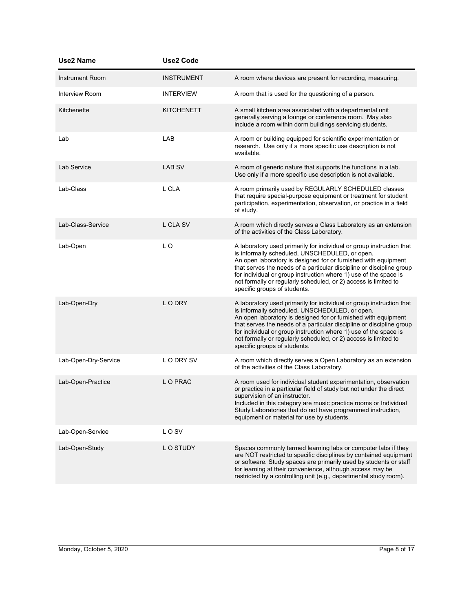| <b>Use2 Name</b>     | <b>Use2 Code</b>  |                                                                                                                                                                                                                                                                                                                                                                                                                                         |
|----------------------|-------------------|-----------------------------------------------------------------------------------------------------------------------------------------------------------------------------------------------------------------------------------------------------------------------------------------------------------------------------------------------------------------------------------------------------------------------------------------|
| Instrument Room      | <b>INSTRUMENT</b> | A room where devices are present for recording, measuring.                                                                                                                                                                                                                                                                                                                                                                              |
| Interview Room       | <b>INTERVIEW</b>  | A room that is used for the questioning of a person.                                                                                                                                                                                                                                                                                                                                                                                    |
| Kitchenette          | <b>KITCHENETT</b> | A small kitchen area associated with a departmental unit<br>generally serving a lounge or conference room. May also<br>include a room within dorm buildings servicing students.                                                                                                                                                                                                                                                         |
| Lab                  | LAB               | A room or building equipped for scientific experimentation or<br>research. Use only if a more specific use description is not<br>available.                                                                                                                                                                                                                                                                                             |
| Lab Service          | <b>LAB SV</b>     | A room of generic nature that supports the functions in a lab.<br>Use only if a more specific use description is not available.                                                                                                                                                                                                                                                                                                         |
| Lab-Class            | L CLA             | A room primarily used by REGULARLY SCHEDULED classes<br>that require special-purpose equipment or treatment for student<br>participation, experimentation, observation, or practice in a field<br>of study.                                                                                                                                                                                                                             |
| Lab-Class-Service    | <b>L CLA SV</b>   | A room which directly serves a Class Laboratory as an extension<br>of the activities of the Class Laboratory.                                                                                                                                                                                                                                                                                                                           |
| Lab-Open             | LO                | A laboratory used primarily for individual or group instruction that<br>is informally scheduled, UNSCHEDULED, or open.<br>An open laboratory is designed for or furnished with equipment<br>that serves the needs of a particular discipline or discipline group<br>for individual or group instruction where 1) use of the space is<br>not formally or regularly scheduled, or 2) access is limited to<br>specific groups of students. |
| Lab-Open-Dry         | L O DRY           | A laboratory used primarily for individual or group instruction that<br>is informally scheduled, UNSCHEDULED, or open.<br>An open laboratory is designed for or furnished with equipment<br>that serves the needs of a particular discipline or discipline group<br>for individual or group instruction where 1) use of the space is<br>not formally or regularly scheduled, or 2) access is limited to<br>specific groups of students. |
| Lab-Open-Dry-Service | L O DRY SV        | A room which directly serves a Open Laboratory as an extension<br>of the activities of the Class Laboratory.                                                                                                                                                                                                                                                                                                                            |
| Lab-Open-Practice    | L O PRAC          | A room used for individual student experimentation, observation<br>or practice in a particular field of study but not under the direct<br>supervision of an instructor.<br>Included in this category are music practice rooms or Individual<br>Study Laboratories that do not have programmed instruction,<br>equipment or material for use by students.                                                                                |
| Lab-Open-Service     | L O SV            |                                                                                                                                                                                                                                                                                                                                                                                                                                         |
| Lab-Open-Study       | L O STUDY         | Spaces commonly termed learning labs or computer labs if they<br>are NOT restricted to specific disciplines by contained equipment<br>or software. Study spaces are primarily used by students or staff<br>for learning at their convenience, although access may be<br>restricted by a controlling unit (e.g., departmental study room).                                                                                               |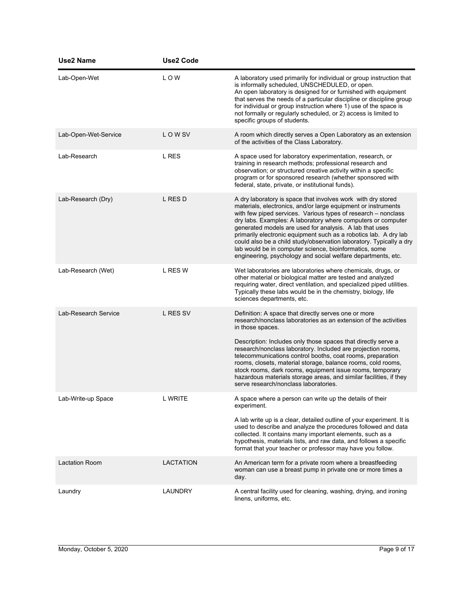| <b>Use2 Name</b>      | <b>Use2 Code</b>  |                                                                                                                                                                                                                                                                                                                                                                                                                                                                                                                                                                                                |
|-----------------------|-------------------|------------------------------------------------------------------------------------------------------------------------------------------------------------------------------------------------------------------------------------------------------------------------------------------------------------------------------------------------------------------------------------------------------------------------------------------------------------------------------------------------------------------------------------------------------------------------------------------------|
| Lab-Open-Wet          | LOW               | A laboratory used primarily for individual or group instruction that<br>is informally scheduled, UNSCHEDULED, or open.<br>An open laboratory is designed for or furnished with equipment<br>that serves the needs of a particular discipline or discipline group<br>for individual or group instruction where 1) use of the space is<br>not formally or regularly scheduled, or 2) access is limited to<br>specific groups of students.                                                                                                                                                        |
| Lab-Open-Wet-Service  | LOW <sub>SV</sub> | A room which directly serves a Open Laboratory as an extension<br>of the activities of the Class Laboratory.                                                                                                                                                                                                                                                                                                                                                                                                                                                                                   |
| Lab-Research          | L RES             | A space used for laboratory experimentation, research, or<br>training in research methods; professional research and<br>observation; or structured creative activity within a specific<br>program or for sponsored research (whether sponsored with<br>federal, state, private, or institutional funds).                                                                                                                                                                                                                                                                                       |
| Lab-Research (Dry)    | L RES D           | A dry laboratory is space that involves work with dry stored<br>materials, electronics, and/or large equipment or instruments<br>with few piped services. Various types of research - nonclass<br>dry labs. Examples: A laboratory where computers or computer<br>generated models are used for analysis. A lab that uses<br>primarily electronic equipment such as a robotics lab. A dry lab<br>could also be a child study/observation laboratory. Typically a dry<br>lab would be in computer science, bioinformatics, some<br>engineering, psychology and social welfare departments, etc. |
| Lab-Research (Wet)    | L RES W           | Wet laboratories are laboratories where chemicals, drugs, or<br>other material or biological matter are tested and analyzed<br>requiring water, direct ventilation, and specialized piped utilities.<br>Typically these labs would be in the chemistry, biology, life<br>sciences departments, etc.                                                                                                                                                                                                                                                                                            |
| Lab-Research Service  | L RES SV          | Definition: A space that directly serves one or more<br>research/nonclass laboratories as an extension of the activities<br>in those spaces.<br>Description: Includes only those spaces that directly serve a<br>research/nonclass laboratory. Included are projection rooms,<br>telecommunications control booths, coat rooms, preparation<br>rooms, closets, material storage, balance rooms, cold rooms,<br>stock rooms, dark rooms, equipment issue rooms, temporary<br>hazardous materials storage areas, and similar facilities, if they<br>serve research/nonclass laboratories.        |
| Lab-Write-up Space    | <b>L WRITE</b>    | A space where a person can write up the details of their<br>experiment.<br>A lab write up is a clear, detailed outline of your experiment. It is<br>used to describe and analyze the procedures followed and data<br>collected. It contains many important elements, such as a<br>hypothesis, materials lists, and raw data, and follows a specific<br>format that your teacher or professor may have you follow.                                                                                                                                                                              |
| <b>Lactation Room</b> | <b>LACTATION</b>  | An American term for a private room where a breastfeeding<br>woman can use a breast pump in private one or more times a<br>day.                                                                                                                                                                                                                                                                                                                                                                                                                                                                |
| Laundry               | LAUNDRY           | A central facility used for cleaning, washing, drying, and ironing<br>linens, uniforms, etc.                                                                                                                                                                                                                                                                                                                                                                                                                                                                                                   |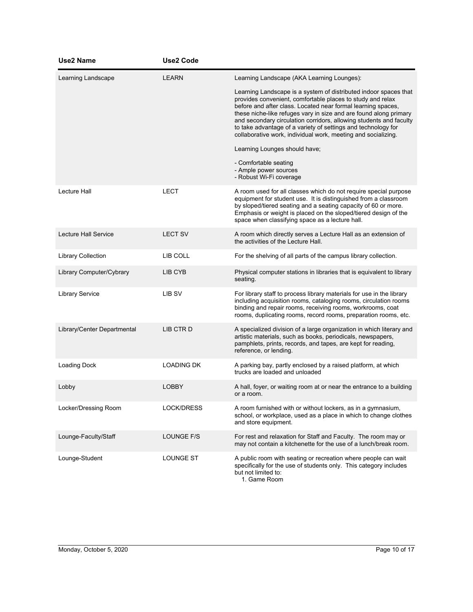| <b>Use2 Name</b>            | <b>Use2 Code</b>  |                                                                                                                                                                                                                                                                                                                                                                                                                                                                                                              |
|-----------------------------|-------------------|--------------------------------------------------------------------------------------------------------------------------------------------------------------------------------------------------------------------------------------------------------------------------------------------------------------------------------------------------------------------------------------------------------------------------------------------------------------------------------------------------------------|
| Learning Landscape          | <b>LEARN</b>      | Learning Landscape (AKA Learning Lounges):                                                                                                                                                                                                                                                                                                                                                                                                                                                                   |
|                             |                   | Learning Landscape is a system of distributed indoor spaces that<br>provides convenient, comfortable places to study and relax<br>before and after class. Located near formal learning spaces,<br>these niche-like refuges vary in size and are found along primary<br>and secondary circulation corridors, allowing students and faculty<br>to take advantage of a variety of settings and technology for<br>collaborative work, individual work, meeting and socializing.<br>Learning Lounges should have; |
|                             |                   | - Comfortable seating                                                                                                                                                                                                                                                                                                                                                                                                                                                                                        |
|                             |                   | - Ample power sources<br>- Robust Wi-Fi coverage                                                                                                                                                                                                                                                                                                                                                                                                                                                             |
| Lecture Hall                | LECT              | A room used for all classes which do not require special purpose<br>equipment for student use. It is distinguished from a classroom<br>by sloped/tiered seating and a seating capacity of 60 or more.<br>Emphasis or weight is placed on the sloped/tiered design of the<br>space when classifying space as a lecture hall.                                                                                                                                                                                  |
| <b>Lecture Hall Service</b> | <b>LECT SV</b>    | A room which directly serves a Lecture Hall as an extension of<br>the activities of the Lecture Hall.                                                                                                                                                                                                                                                                                                                                                                                                        |
| <b>Library Collection</b>   | LIB COLL          | For the shelving of all parts of the campus library collection.                                                                                                                                                                                                                                                                                                                                                                                                                                              |
| Library Computer/Cybrary    | LIB CYB           | Physical computer stations in libraries that is equivalent to library<br>seating.                                                                                                                                                                                                                                                                                                                                                                                                                            |
| <b>Library Service</b>      | LIB SV            | For library staff to process library materials for use in the library<br>including acquisition rooms, cataloging rooms, circulation rooms<br>binding and repair rooms, receiving rooms, workrooms, coat<br>rooms, duplicating rooms, record rooms, preparation rooms, etc.                                                                                                                                                                                                                                   |
| Library/Center Departmental | LIB CTR D         | A specialized division of a large organization in which literary and<br>artistic materials, such as books, periodicals, newspapers,<br>pamphlets, prints, records, and tapes, are kept for reading,<br>reference, or lending.                                                                                                                                                                                                                                                                                |
| Loading Dock                | <b>LOADING DK</b> | A parking bay, partly enclosed by a raised platform, at which<br>trucks are loaded and unloaded                                                                                                                                                                                                                                                                                                                                                                                                              |
| Lobby                       | <b>LOBBY</b>      | A hall, foyer, or waiting room at or near the entrance to a building<br>or a room.                                                                                                                                                                                                                                                                                                                                                                                                                           |
| Locker/Dressing Room        | <b>LOCK/DRESS</b> | A room furnished with or without lockers, as in a gymnasium,<br>school, or workplace, used as a place in which to change clothes<br>and store equipment.                                                                                                                                                                                                                                                                                                                                                     |
| Lounge-Faculty/Staff        | LOUNGE F/S        | For rest and relaxation for Staff and Faculty. The room may or<br>may not contain a kitchenette for the use of a lunch/break room.                                                                                                                                                                                                                                                                                                                                                                           |
| Lounge-Student              | LOUNGE ST         | A public room with seating or recreation where people can wait<br>specifically for the use of students only. This category includes<br>but not limited to:<br>1. Game Room                                                                                                                                                                                                                                                                                                                                   |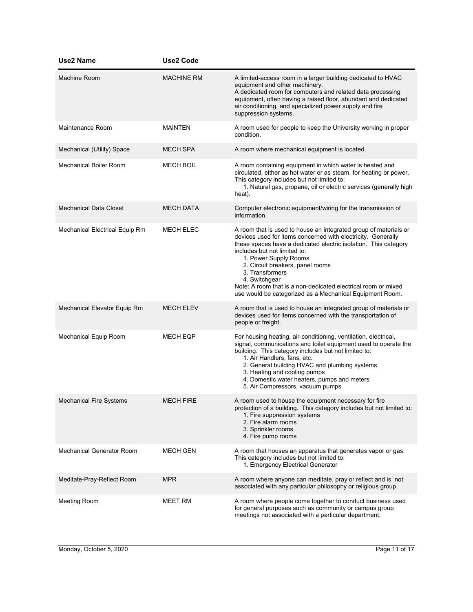| <b>Use2 Name</b>               | <b>Use2 Code</b>  |                                                                                                                                                                                                                                                                                                                                                                                                                                                                   |
|--------------------------------|-------------------|-------------------------------------------------------------------------------------------------------------------------------------------------------------------------------------------------------------------------------------------------------------------------------------------------------------------------------------------------------------------------------------------------------------------------------------------------------------------|
| Machine Room                   | <b>MACHINE RM</b> | A limited-access room in a larger building dedicated to HVAC<br>equipment and other machinery.<br>A dedicated room for computers and related data processing<br>equipment, often having a raised floor, abundant and dedicated<br>air conditioning, and specialized power supply and fire<br>suppression systems.                                                                                                                                                 |
| Maintenance Room               | <b>MAINTEN</b>    | A room used for people to keep the University working in proper<br>condition.                                                                                                                                                                                                                                                                                                                                                                                     |
| Mechanical (Utility) Space     | <b>MECH SPA</b>   | A room where mechanical equipment is located.                                                                                                                                                                                                                                                                                                                                                                                                                     |
| Mechanical Boiler Room         | <b>MECH BOIL</b>  | A room containing equipment in which water is heated and<br>circulated, either as hot water or as steam, for heating or power.<br>This category includes but not limited to:<br>1. Natural gas, propane, oil or electric services (generally high<br>heat).                                                                                                                                                                                                       |
| <b>Mechanical Data Closet</b>  | <b>MECH DATA</b>  | Computer electronic equipment/wiring for the transmission of<br>information.                                                                                                                                                                                                                                                                                                                                                                                      |
| Mechanical Electrical Equip Rm | <b>MECH ELEC</b>  | A room that is used to house an integrated group of materials or<br>devices used for items concerned with electricity. Generally<br>these spaces have a dedicated electric isolation. This category<br>includes but not limited to:<br>1. Power Supply Rooms<br>2. Circuit breakers, panel rooms<br>3. Transformers<br>4. Switchgear<br>Note: A room that is a non-dedicated electrical room or mixed<br>use would be categorized as a Mechanical Equipment Room. |
| Mechanical Elevator Equip Rm   | <b>MECH ELEV</b>  | A room that is used to house an integrated group of materials or<br>devices used for items concerned with the transportation of<br>people or freight.                                                                                                                                                                                                                                                                                                             |
| Mechanical Equip Room          | <b>MECH EQP</b>   | For housing heating, air-conditioning, ventilation, electrical,<br>signal, communications and toilet equipment used to operate the<br>building. This category includes but not limited to:<br>1. Air Handlers, fans, etc.<br>2. General building HVAC and plumbing systems<br>3. Heating and cooling pumps<br>4. Domestic water heaters, pumps and meters<br>5. Air Compressors, vacuum pumps                                                                     |
| <b>Mechanical Fire Systems</b> | <b>MECH FIRE</b>  | A room used to house the equipment necessary for fire<br>protection of a building. This category includes but not limited to:<br>1. Fire suppression systems<br>2. Fire alarm rooms<br>3. Sprinkler rooms<br>4. Fire pump rooms                                                                                                                                                                                                                                   |
| Mechanical Generator Room      | <b>MECH GEN</b>   | A room that houses an apparatus that generates vapor or gas.<br>This category includes but not limited to:<br>1. Emergency Electrical Generator                                                                                                                                                                                                                                                                                                                   |
| Meditate-Pray-Reflect Room     | <b>MPR</b>        | A room where anyone can meditate, pray or reflect and is not<br>associated with any particular philosophy or religious group.                                                                                                                                                                                                                                                                                                                                     |
| <b>Meeting Room</b>            | <b>MEET RM</b>    | A room where people come together to conduct business used<br>for general purposes such as community or campus group<br>meetings not associated with a particular department.                                                                                                                                                                                                                                                                                     |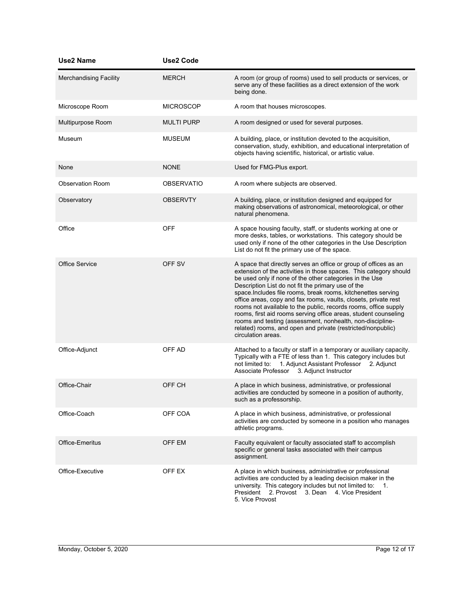| <b>Use2 Name</b>              | <b>Use2 Code</b>  |                                                                                                                                                                                                                                                                                                                                                                                                                                                                                                                                                                                                                                                                                   |
|-------------------------------|-------------------|-----------------------------------------------------------------------------------------------------------------------------------------------------------------------------------------------------------------------------------------------------------------------------------------------------------------------------------------------------------------------------------------------------------------------------------------------------------------------------------------------------------------------------------------------------------------------------------------------------------------------------------------------------------------------------------|
| <b>Merchandising Facility</b> | <b>MERCH</b>      | A room (or group of rooms) used to sell products or services, or<br>serve any of these facilities as a direct extension of the work<br>being done.                                                                                                                                                                                                                                                                                                                                                                                                                                                                                                                                |
| Microscope Room               | <b>MICROSCOP</b>  | A room that houses microscopes.                                                                                                                                                                                                                                                                                                                                                                                                                                                                                                                                                                                                                                                   |
| Multipurpose Room             | <b>MULTI PURP</b> | A room designed or used for several purposes.                                                                                                                                                                                                                                                                                                                                                                                                                                                                                                                                                                                                                                     |
| Museum                        | <b>MUSEUM</b>     | A building, place, or institution devoted to the acquisition,<br>conservation, study, exhibition, and educational interpretation of<br>objects having scientific, historical, or artistic value.                                                                                                                                                                                                                                                                                                                                                                                                                                                                                  |
| None                          | <b>NONE</b>       | Used for FMG-Plus export.                                                                                                                                                                                                                                                                                                                                                                                                                                                                                                                                                                                                                                                         |
| <b>Observation Room</b>       | <b>OBSERVATIO</b> | A room where subjects are observed.                                                                                                                                                                                                                                                                                                                                                                                                                                                                                                                                                                                                                                               |
| Observatory                   | <b>OBSERVTY</b>   | A building, place, or institution designed and equipped for<br>making observations of astronomical, meteorological, or other<br>natural phenomena.                                                                                                                                                                                                                                                                                                                                                                                                                                                                                                                                |
| Office                        | OFF               | A space housing faculty, staff, or students working at one or<br>more desks, tables, or workstations. This category should be<br>used only if none of the other categories in the Use Description<br>List do not fit the primary use of the space.                                                                                                                                                                                                                                                                                                                                                                                                                                |
| <b>Office Service</b>         | OFF SV            | A space that directly serves an office or group of offices as an<br>extension of the activities in those spaces. This category should<br>be used only if none of the other categories in the Use<br>Description List do not fit the primary use of the<br>space.Includes file rooms, break rooms, kitchenettes serving<br>office areas, copy and fax rooms, vaults, closets, private rest<br>rooms not available to the public, records rooms, office supply<br>rooms, first aid rooms serving office areas, student counseling<br>rooms and testing (assessment, nonhealth, non-discipline-<br>related) rooms, and open and private (restricted/nonpublic)<br>circulation areas. |
| Office-Adjunct                | OFF AD            | Attached to a faculty or staff in a temporary or auxiliary capacity.<br>Typically with a FTE of less than 1. This category includes but<br>1. Adjunct Assistant Professor<br>not limited to:<br>2. Adjunct<br>Associate Professor<br>3. Adjunct Instructor                                                                                                                                                                                                                                                                                                                                                                                                                        |
| Office-Chair                  | OFF CH            | A place in which business, administrative, or professional<br>activities are conducted by someone in a position of authority,<br>such as a professorship.                                                                                                                                                                                                                                                                                                                                                                                                                                                                                                                         |
| Office-Coach                  | OFF COA           | A place in which business, administrative, or professional<br>activities are conducted by someone in a position who manages<br>athletic programs.                                                                                                                                                                                                                                                                                                                                                                                                                                                                                                                                 |
| Office-Emeritus               | OFF EM            | Faculty equivalent or faculty associated staff to accomplish<br>specific or general tasks associated with their campus<br>assignment.                                                                                                                                                                                                                                                                                                                                                                                                                                                                                                                                             |
| Office-Executive              | OFF EX            | A place in which business, administrative or professional<br>activities are conducted by a leading decision maker in the<br>university. This category includes but not limited to:<br>1.<br>2. Provost<br>3. Dean<br>4. Vice President<br>President<br>5. Vice Provost                                                                                                                                                                                                                                                                                                                                                                                                            |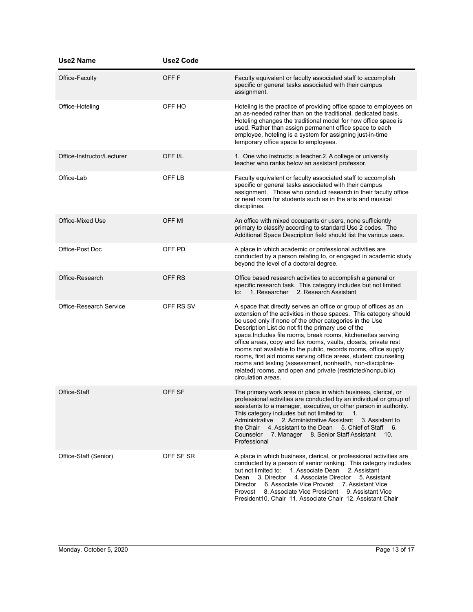| <b>Use2 Name</b>           | <b>Use2 Code</b> |                                                                                                                                                                                                                                                                                                                                                                                                                                                                                                                                                                                                                                                                                  |
|----------------------------|------------------|----------------------------------------------------------------------------------------------------------------------------------------------------------------------------------------------------------------------------------------------------------------------------------------------------------------------------------------------------------------------------------------------------------------------------------------------------------------------------------------------------------------------------------------------------------------------------------------------------------------------------------------------------------------------------------|
| Office-Faculty             | OFF F            | Faculty equivalent or faculty associated staff to accomplish<br>specific or general tasks associated with their campus<br>assignment.                                                                                                                                                                                                                                                                                                                                                                                                                                                                                                                                            |
| Office-Hoteling            | OFF HO           | Hoteling is the practice of providing office space to employees on<br>an as-needed rather than on the traditional, dedicated basis.<br>Hoteling changes the traditional model for how office space is<br>used. Rather than assign permanent office space to each<br>employee, hoteling is a system for assigning just-in-time<br>temporary office space to employees.                                                                                                                                                                                                                                                                                                            |
| Office-Instructor/Lecturer | OFF I/L          | 1. One who instructs; a teacher 2. A college or university<br>teacher who ranks below an assistant professor.                                                                                                                                                                                                                                                                                                                                                                                                                                                                                                                                                                    |
| Office-Lab                 | OFF LB           | Faculty equivalent or faculty associated staff to accomplish<br>specific or general tasks associated with their campus<br>assignment. Those who conduct research in their faculty office<br>or need room for students such as in the arts and musical<br>disciplines.                                                                                                                                                                                                                                                                                                                                                                                                            |
| Office-Mixed Use           | <b>OFF MI</b>    | An office with mixed occupants or users, none sufficiently<br>primary to classify according to standard Use 2 codes. The<br>Additional Space Description field should list the various uses.                                                                                                                                                                                                                                                                                                                                                                                                                                                                                     |
| Office-Post Doc            | OFF PD           | A place in which academic or professional activities are<br>conducted by a person relating to, or engaged in academic study<br>beyond the level of a doctoral degree.                                                                                                                                                                                                                                                                                                                                                                                                                                                                                                            |
| Office-Research            | OFF RS           | Office based research activities to accomplish a general or<br>specific research task. This category includes but not limited<br>1. Researcher 2. Research Assistant<br>to:                                                                                                                                                                                                                                                                                                                                                                                                                                                                                                      |
| Office-Research Service    | OFF RS SV        | A space that directly serves an office or group of offices as an<br>extension of the activities in those spaces. This category should<br>be used only if none of the other categories in the Use<br>Description List do not fit the primary use of the<br>space.Includes file rooms, break rooms, kitchenettes serving<br>office areas, copy and fax rooms, vaults, closets, private rest<br>rooms not available to the public, records rooms, office supply<br>rooms, first aid rooms serving office areas, student counseling<br>rooms and testing (assessment, nonhealth, non-discipline-<br>related) rooms, and open and private (restricted/nonpublic)<br>circulation areas |
| Office-Staff               | OFF SF           | The primary work area or place in which business, clerical, or<br>professional activities are conducted by an individual or group of<br>assistants to a manager, executive, or other person in authority.<br>This category includes but not limited to:<br>1.<br>Administrative<br>2. Administrative Assistant<br>3. Assistant to<br>the Chair<br>4. Assistant to the Dean<br>5. Chief of Staff 6.<br>Counselor<br>7. Manager 8. Senior Staff Assistant<br>10.<br>Professional                                                                                                                                                                                                   |
| Office-Staff (Senior)      | OFF SF SR        | A place in which business, clerical, or professional activities are<br>conducted by a person of senior ranking. This category includes<br>but not limited to:<br>1. Associate Dean<br>2. Assistant<br>3. Director<br>4. Associate Director<br>5. Assistant<br>Dean<br>6. Associate Vice Provost 7. Assistant Vice<br><b>Director</b><br>8. Associate Vice President<br>9. Assistant Vice<br>Provost<br>President 10, Chair 11, Associate Chair 12, Assistant Chair                                                                                                                                                                                                               |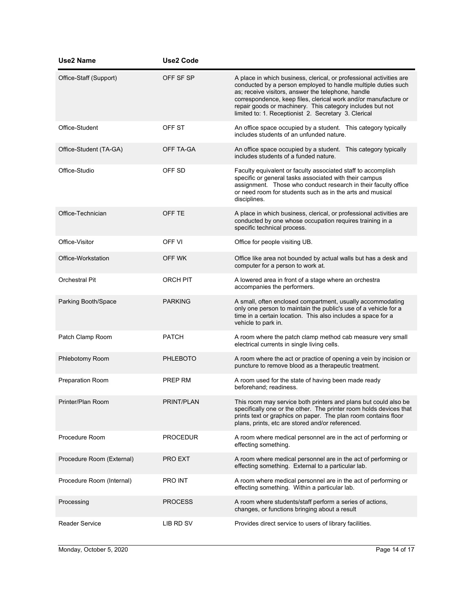| Use2 Name                 | <b>Use2 Code</b> |                                                                                                                                                                                                                                                                                                                                                                                    |
|---------------------------|------------------|------------------------------------------------------------------------------------------------------------------------------------------------------------------------------------------------------------------------------------------------------------------------------------------------------------------------------------------------------------------------------------|
| Office-Staff (Support)    | OFF SF SP        | A place in which business, clerical, or professional activities are<br>conducted by a person employed to handle multiple duties such<br>as; receive visitors, answer the telephone, handle<br>correspondence, keep files, clerical work and/or manufacture or<br>repair goods or machinery. This category includes but not<br>limited to: 1. Receptionist 2. Secretary 3. Clerical |
| Office-Student            | OFF ST           | An office space occupied by a student. This category typically<br>includes students of an unfunded nature.                                                                                                                                                                                                                                                                         |
| Office-Student (TA-GA)    | <b>OFF TA-GA</b> | An office space occupied by a student. This category typically<br>includes students of a funded nature.                                                                                                                                                                                                                                                                            |
| Office-Studio             | OFF SD           | Faculty equivalent or faculty associated staff to accomplish<br>specific or general tasks associated with their campus<br>assignment. Those who conduct research in their faculty office<br>or need room for students such as in the arts and musical<br>disciplines.                                                                                                              |
| Office-Technician         | OFF TE           | A place in which business, clerical, or professional activities are<br>conducted by one whose occupation requires training in a<br>specific technical process.                                                                                                                                                                                                                     |
| Office-Visitor            | OFF VI           | Office for people visiting UB.                                                                                                                                                                                                                                                                                                                                                     |
| Office-Workstation        | OFF WK           | Office like area not bounded by actual walls but has a desk and<br>computer for a person to work at.                                                                                                                                                                                                                                                                               |
| Orchestral Pit            | <b>ORCH PIT</b>  | A lowered area in front of a stage where an orchestra<br>accompanies the performers.                                                                                                                                                                                                                                                                                               |
| Parking Booth/Space       | <b>PARKING</b>   | A small, often enclosed compartment, usually accommodating<br>only one person to maintain the public's use of a vehicle for a<br>time in a certain location. This also includes a space for a<br>vehicle to park in.                                                                                                                                                               |
| Patch Clamp Room          | <b>PATCH</b>     | A room where the patch clamp method cab measure very small<br>electrical currents in single living cells.                                                                                                                                                                                                                                                                          |
| Phlebotomy Room           | <b>PHLEBOTO</b>  | A room where the act or practice of opening a vein by incision or<br>puncture to remove blood as a therapeutic treatment.                                                                                                                                                                                                                                                          |
| Preparation Room          | PREP RM          | A room used for the state of having been made ready<br>beforehand; readiness.                                                                                                                                                                                                                                                                                                      |
| Printer/Plan Room         | PRINT/PLAN       | This room may service both printers and plans but could also be<br>specifically one or the other. The printer room holds devices that<br>prints text or graphics on paper. The plan room contains floor<br>plans, prints, etc are stored and/or referenced.                                                                                                                        |
| Procedure Room            | <b>PROCEDUR</b>  | A room where medical personnel are in the act of performing or<br>effecting something.                                                                                                                                                                                                                                                                                             |
| Procedure Room (External) | PRO EXT          | A room where medical personnel are in the act of performing or<br>effecting something. External to a particular lab.                                                                                                                                                                                                                                                               |
| Procedure Room (Internal) | PRO INT          | A room where medical personnel are in the act of performing or<br>effecting something. Within a particular lab.                                                                                                                                                                                                                                                                    |
| Processing                | <b>PROCESS</b>   | A room where students/staff perform a series of actions,<br>changes, or functions bringing about a result                                                                                                                                                                                                                                                                          |
| <b>Reader Service</b>     | LIB RD SV        | Provides direct service to users of library facilities.                                                                                                                                                                                                                                                                                                                            |

Monday, October 5, 2020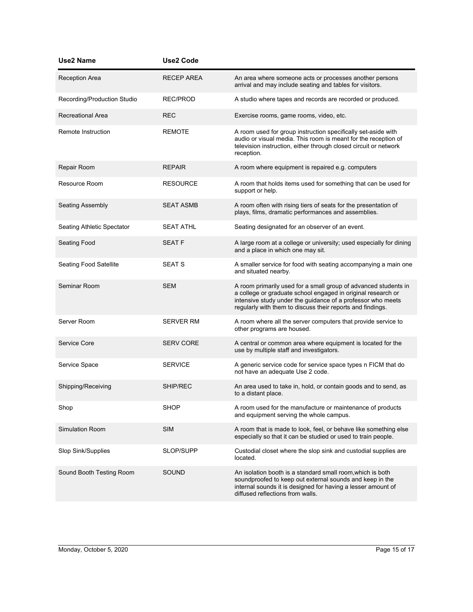| <b>Use2 Name</b>                  | <b>Use2 Code</b>  |                                                                                                                                                                                                                                                              |
|-----------------------------------|-------------------|--------------------------------------------------------------------------------------------------------------------------------------------------------------------------------------------------------------------------------------------------------------|
| <b>Reception Area</b>             | <b>RECEP AREA</b> | An area where someone acts or processes another persons<br>arrival and may include seating and tables for visitors.                                                                                                                                          |
| Recording/Production Studio       | REC/PROD          | A studio where tapes and records are recorded or produced.                                                                                                                                                                                                   |
| Recreational Area                 | <b>REC</b>        | Exercise rooms, game rooms, video, etc.                                                                                                                                                                                                                      |
| Remote Instruction                | <b>REMOTE</b>     | A room used for group instruction specifically set-aside with<br>audio or visual media. This room is meant for the reception of<br>television instruction, either through closed circuit or network<br>reception.                                            |
| Repair Room                       | <b>REPAIR</b>     | A room where equipment is repaired e.g. computers                                                                                                                                                                                                            |
| Resource Room                     | <b>RESOURCE</b>   | A room that holds items used for something that can be used for<br>support or help.                                                                                                                                                                          |
| <b>Seating Assembly</b>           | <b>SEAT ASMB</b>  | A room often with rising tiers of seats for the presentation of<br>plays, films, dramatic performances and assemblies.                                                                                                                                       |
| <b>Seating Athletic Spectator</b> | <b>SEAT ATHL</b>  | Seating designated for an observer of an event.                                                                                                                                                                                                              |
| <b>Seating Food</b>               | <b>SEATF</b>      | A large room at a college or university; used especially for dining<br>and a place in which one may sit.                                                                                                                                                     |
| <b>Seating Food Satellite</b>     | <b>SEAT S</b>     | A smaller service for food with seating accompanying a main one<br>and situated nearby.                                                                                                                                                                      |
| Seminar Room                      | <b>SEM</b>        | A room primarily used for a small group of advanced students in<br>a college or graduate school engaged in original research or<br>intensive study under the guidance of a professor who meets<br>regularly with them to discuss their reports and findings. |
| Server Room                       | <b>SERVER RM</b>  | A room where all the server computers that provide service to<br>other programs are housed.                                                                                                                                                                  |
| Service Core                      | <b>SERV CORE</b>  | A central or common area where equipment is located for the<br>use by multiple staff and investigators.                                                                                                                                                      |
| Service Space                     | <b>SERVICE</b>    | A generic service code for service space types n FICM that do<br>not have an adequate Use 2 code.                                                                                                                                                            |
| Shipping/Receiving                | SHIP/REC          | An area used to take in, hold, or contain goods and to send, as<br>to a distant place.                                                                                                                                                                       |
| Shop                              | SHOP              | A room used for the manufacture or maintenance of products<br>and equipment serving the whole campus.                                                                                                                                                        |
| <b>Simulation Room</b>            | <b>SIM</b>        | A room that is made to look, feel, or behave like something else<br>especially so that it can be studied or used to train people.                                                                                                                            |
| Slop Sink/Supplies                | SLOP/SUPP         | Custodial closet where the slop sink and custodial supplies are<br>located.                                                                                                                                                                                  |
| Sound Booth Testing Room          | SOUND             | An isolation booth is a standard small room, which is both<br>soundproofed to keep out external sounds and keep in the<br>internal sounds it is designed for having a lesser amount of<br>diffused reflections from walls.                                   |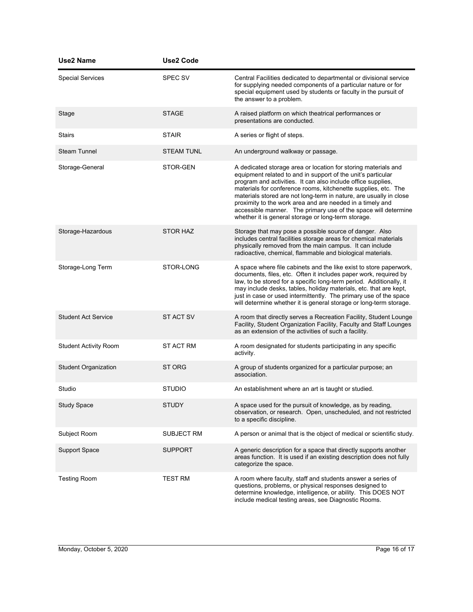| <b>Use2 Name</b>             | <b>Use2 Code</b>  |                                                                                                                                                                                                                                                                                                                                                                                                                                                                                                                              |
|------------------------------|-------------------|------------------------------------------------------------------------------------------------------------------------------------------------------------------------------------------------------------------------------------------------------------------------------------------------------------------------------------------------------------------------------------------------------------------------------------------------------------------------------------------------------------------------------|
| <b>Special Services</b>      | <b>SPEC SV</b>    | Central Facilities dedicated to departmental or divisional service<br>for supplying needed components of a particular nature or for<br>special equipment used by students or faculty in the pursuit of<br>the answer to a problem.                                                                                                                                                                                                                                                                                           |
| Stage                        | <b>STAGE</b>      | A raised platform on which theatrical performances or<br>presentations are conducted.                                                                                                                                                                                                                                                                                                                                                                                                                                        |
| Stairs                       | <b>STAIR</b>      | A series or flight of steps.                                                                                                                                                                                                                                                                                                                                                                                                                                                                                                 |
| <b>Steam Tunnel</b>          | <b>STEAM TUNL</b> | An underground walkway or passage.                                                                                                                                                                                                                                                                                                                                                                                                                                                                                           |
| Storage-General              | STOR-GEN          | A dedicated storage area or location for storing materials and<br>equipment related to and in support of the unit's particular<br>program and activities. It can also include office supplies,<br>materials for conference rooms, kitchenette supplies, etc. The<br>materials stored are not long-term in nature, are usually in close<br>proximity to the work area and are needed in a timely and<br>accessible manner. The primary use of the space will determine<br>whether it is general storage or long-term storage. |
| Storage-Hazardous            | <b>STOR HAZ</b>   | Storage that may pose a possible source of danger. Also<br>includes central facilities storage areas for chemical materials<br>physically removed from the main campus. It can include<br>radioactive, chemical, flammable and biological materials.                                                                                                                                                                                                                                                                         |
| Storage-Long Term            | STOR-LONG         | A space where file cabinets and the like exist to store paperwork,<br>documents, files, etc. Often it includes paper work, required by<br>law, to be stored for a specific long-term period. Additionally, it<br>may include desks, tables, holiday materials, etc. that are kept,<br>just in case or used intermittently. The primary use of the space<br>will determine whether it is general storage or long-term storage.                                                                                                |
| <b>Student Act Service</b>   | <b>ST ACT SV</b>  | A room that directly serves a Recreation Facility, Student Lounge<br>Facility, Student Organization Facility, Faculty and Staff Lounges<br>as an extension of the activities of such a facility.                                                                                                                                                                                                                                                                                                                             |
| <b>Student Activity Room</b> | <b>ST ACT RM</b>  | A room designated for students participating in any specific<br>activity.                                                                                                                                                                                                                                                                                                                                                                                                                                                    |
| <b>Student Organization</b>  | ST ORG            | A group of students organized for a particular purpose; an<br>association.                                                                                                                                                                                                                                                                                                                                                                                                                                                   |
| Studio                       | <b>STUDIO</b>     | An establishment where an art is taught or studied.                                                                                                                                                                                                                                                                                                                                                                                                                                                                          |
| <b>Study Space</b>           | <b>STUDY</b>      | A space used for the pursuit of knowledge, as by reading,<br>observation, or research. Open, unscheduled, and not restricted<br>to a specific discipline.                                                                                                                                                                                                                                                                                                                                                                    |
| Subject Room                 | <b>SUBJECT RM</b> | A person or animal that is the object of medical or scientific study.                                                                                                                                                                                                                                                                                                                                                                                                                                                        |
| Support Space                | <b>SUPPORT</b>    | A generic description for a space that directly supports another<br>areas function. It is used if an existing description does not fully<br>categorize the space.                                                                                                                                                                                                                                                                                                                                                            |
| <b>Testing Room</b>          | <b>TEST RM</b>    | A room where faculty, staff and students answer a series of<br>questions, problems, or physical responses designed to<br>determine knowledge, intelligence, or ability. This DOES NOT<br>include medical testing areas, see Diagnostic Rooms.                                                                                                                                                                                                                                                                                |